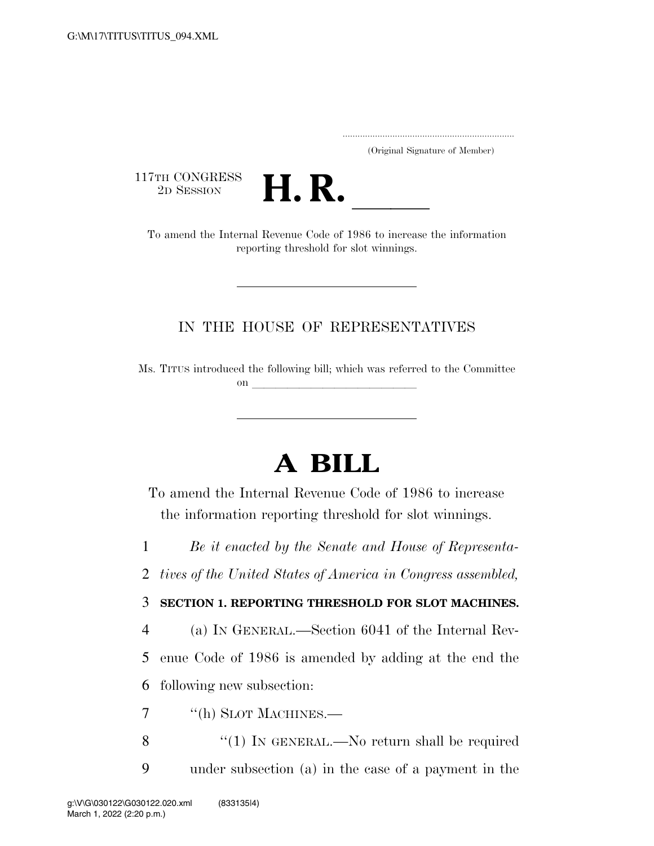..................................................................... (Original Signature of Member)

117TH CONGRESS<br>2D SESSION



TTH CONGRESS<br>
2D SESSION<br>
To amend the Internal Revenue Code of 1986 to increase the information reporting threshold for slot winnings.

## IN THE HOUSE OF REPRESENTATIVES

Ms. TITUS introduced the following bill; which was referred to the Committee on  $\overline{\qquad \qquad }$ 

## **A BILL**

To amend the Internal Revenue Code of 1986 to increase the information reporting threshold for slot winnings.

1 *Be it enacted by the Senate and House of Representa-*

2 *tives of the United States of America in Congress assembled,* 

## 3 **SECTION 1. REPORTING THRESHOLD FOR SLOT MACHINES.**

4 (a) IN GENERAL.—Section 6041 of the Internal Rev-5 enue Code of 1986 is amended by adding at the end the 6 following new subsection:

7 <sup>''</sup>(h) SLOT MACHINES.

8 "(1) IN GENERAL.—No return shall be required 9 under subsection (a) in the case of a payment in the